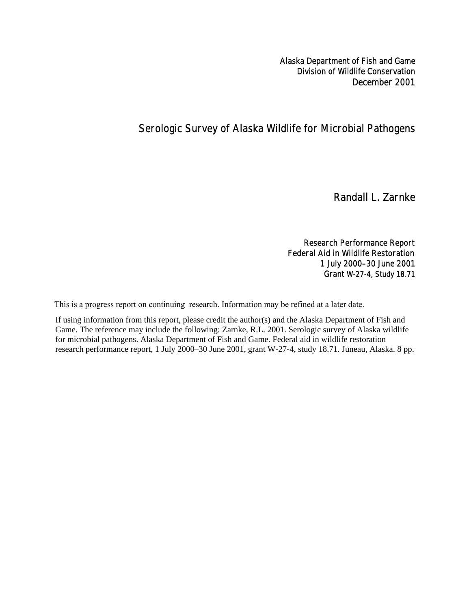Alaska Department of Fish and Game Division of Wildlife Conservation December 2001

# Serologic Survey of Alaska Wildlife for Microbial Pathogens

Randall L. Zarnke

## Research Performance Report Federal Aid in Wildlife Restoration

1 July 2000–30 June 2001 Grant W-27-4, Study 18.71

This is a progress report on continuing research. Information may be refined at a later date.

If using information from this report, please credit the author(s) and the Alaska Department of Fish and Game. The reference may include the following: Zarnke, R.L. 2001. Serologic survey of Alaska wildlife for microbial pathogens. Alaska Department of Fish and Game. Federal aid in wildlife restoration research performance report, 1 July 2000–30 June 2001, grant W-27-4, study 18.71. Juneau, Alaska. 8 pp.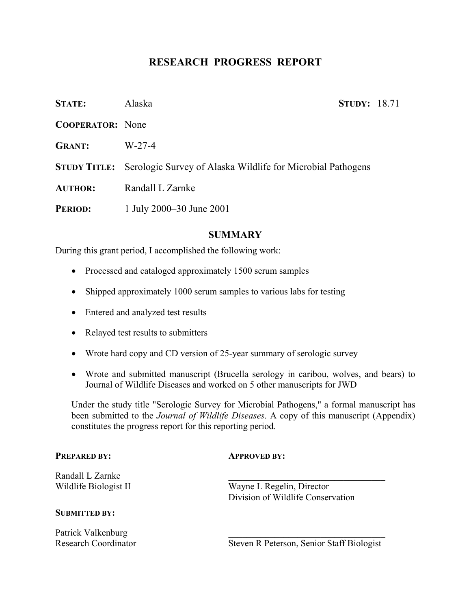# **RESEARCH PROGRESS REPORT**

| <b>STATE:</b>           | Alaska                                                                          | <b>STUDY: 18.71</b> |  |
|-------------------------|---------------------------------------------------------------------------------|---------------------|--|
| <b>COOPERATOR:</b> None |                                                                                 |                     |  |
| <b>GRANT:</b>           | $W-27-4$                                                                        |                     |  |
|                         | <b>STUDY TITLE:</b> Serologic Survey of Alaska Wildlife for Microbial Pathogens |                     |  |
| <b>AUTHOR:</b>          | Randall L Zarnke                                                                |                     |  |
| <b>PERIOD:</b>          | 1 July 2000–30 June 2001                                                        |                     |  |

## **SUMMARY**

During this grant period, I accomplished the following work:

- Processed and cataloged approximately 1500 serum samples
- Shipped approximately 1000 serum samples to various labs for testing
- Entered and analyzed test results
- Relayed test results to submitters
- Wrote hard copy and CD version of 25-year summary of serologic survey
- Wrote and submitted manuscript (Brucella serology in caribou, wolves, and bears) to Journal of Wildlife Diseases and worked on 5 other manuscripts for JWD

Under the study title "Serologic Survey for Microbial Pathogens," a formal manuscript has been submitted to the *Journal of Wildlife Diseases*. A copy of this manuscript (Appendix) constitutes the progress report for this reporting period.

### **PREPARED BY: APPROVED BY:**

Randall L Zarnke \_\_\_\_\_\_\_\_\_\_\_\_\_\_\_\_\_\_\_\_\_\_\_\_\_\_\_\_\_\_\_\_\_\_

## **SUBMITTED BY:**

Patrick Valkenburg

Wildlife Biologist II Wayne L Regelin, Director Division of Wildlife Conservation

Research Coordinator Steven R Peterson, Senior Staff Biologist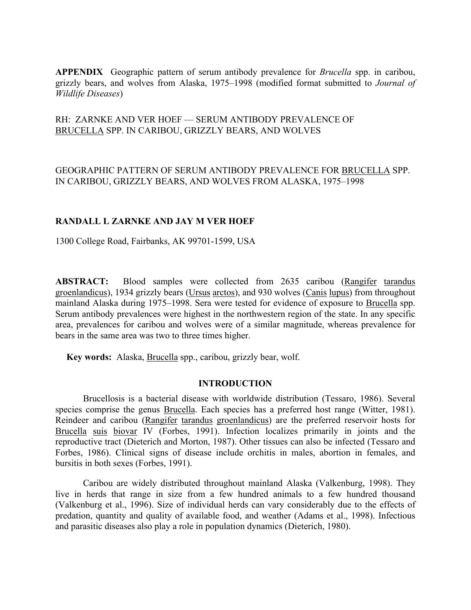**APPENDIX** Geographic pattern of serum antibody prevalence for *Brucella* spp. in caribou, grizzly bears, and wolves from Alaska, 1975–1998 (modified format submitted to *Journal of Wildlife Diseases*)

## RH: ZARNKE AND VER HOEF — SERUM ANTIBODY PREVALENCE OF BRUCELLA SPP. IN CARIBOU, GRIZZLY BEARS, AND WOLVES

GEOGRAPHIC PATTERN OF SERUM ANTIBODY PREVALENCE FOR BRUCELLA SPP. IN CARIBOU, GRIZZLY BEARS, AND WOLVES FROM ALASKA, 1975–1998

## **RANDALL L ZARNKE AND JAY M VER HOEF**

1300 College Road, Fairbanks, AK 99701-1599, USA

**ABSTRACT:** Blood samples were collected from 2635 caribou (Rangifer tarandus groenlandicus), 1934 grizzly bears (Ursus arctos), and 930 wolves (Canis lupus) from throughout mainland Alaska during 1975–1998. Sera were tested for evidence of exposure to Brucella spp. Serum antibody prevalences were highest in the northwestern region of the state. In any specific area, prevalences for caribou and wolves were of a similar magnitude, whereas prevalence for bears in the same area was two to three times higher.

**Key words:** Alaska, Brucella spp., caribou, grizzly bear, wolf.

## **INTRODUCTION**

Brucellosis is a bacterial disease with worldwide distribution (Tessaro, 1986). Several species comprise the genus **Brucella**. Each species has a preferred host range (Witter, 1981). Reindeer and caribou (Rangifer tarandus groenlandicus) are the preferred reservoir hosts for Brucella suis biovar IV (Forbes, 1991). Infection localizes primarily in joints and the reproductive tract (Dieterich and Morton, 1987). Other tissues can also be infected (Tessaro and Forbes, 1986). Clinical signs of disease include orchitis in males, abortion in females, and bursitis in both sexes (Forbes, 1991).

Caribou are widely distributed throughout mainland Alaska (Valkenburg, 1998). They live in herds that range in size from a few hundred animals to a few hundred thousand (Valkenburg et al., 1996). Size of individual herds can vary considerably due to the effects of predation, quantity and quality of available food, and weather (Adams et al., 1998). Infectious and parasitic diseases also play a role in population dynamics (Dieterich, 1980).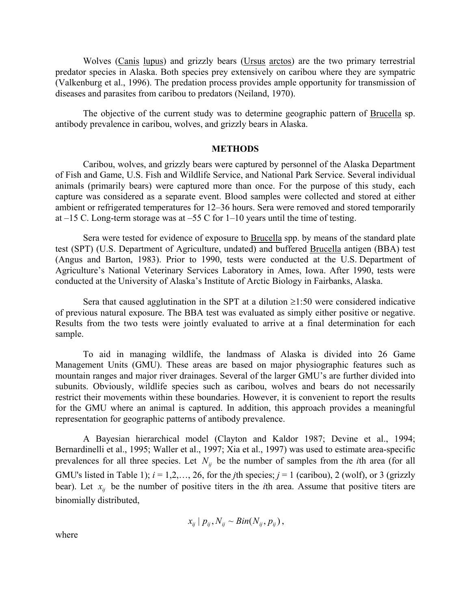Wolves (Canis lupus) and grizzly bears (Ursus arctos) are the two primary terrestrial predator species in Alaska. Both species prey extensively on caribou where they are sympatric (Valkenburg et al., 1996). The predation process provides ample opportunity for transmission of diseases and parasites from caribou to predators (Neiland, 1970).

The objective of the current study was to determine geographic pattern of Brucella sp. antibody prevalence in caribou, wolves, and grizzly bears in Alaska.

## **METHODS**

Caribou, wolves, and grizzly bears were captured by personnel of the Alaska Department of Fish and Game, U.S. Fish and Wildlife Service, and National Park Service. Several individual animals (primarily bears) were captured more than once. For the purpose of this study, each capture was considered as a separate event. Blood samples were collected and stored at either ambient or refrigerated temperatures for 12–36 hours. Sera were removed and stored temporarily at  $-15$  C. Long-term storage was at  $-55$  C for  $1-10$  years until the time of testing.

Sera were tested for evidence of exposure to Brucella spp. by means of the standard plate test (SPT) (U.S. Department of Agriculture, undated) and buffered Brucella antigen (BBA) test (Angus and Barton, 1983). Prior to 1990, tests were conducted at the U.S. Department of Agriculture's National Veterinary Services Laboratory in Ames, Iowa. After 1990, tests were conducted at the University of Alaska's Institute of Arctic Biology in Fairbanks, Alaska.

Sera that caused agglutination in the SPT at a dilution  $\geq 1:50$  were considered indicative of previous natural exposure. The BBA test was evaluated as simply either positive or negative. Results from the two tests were jointly evaluated to arrive at a final determination for each sample.

To aid in managing wildlife, the landmass of Alaska is divided into 26 Game Management Units (GMU). These areas are based on major physiographic features such as mountain ranges and major river drainages. Several of the larger GMU's are further divided into subunits. Obviously, wildlife species such as caribou, wolves and bears do not necessarily restrict their movements within these boundaries. However, it is convenient to report the results for the GMU where an animal is captured. In addition, this approach provides a meaningful representation for geographic patterns of antibody prevalence.

A Bayesian hierarchical model (Clayton and Kaldor 1987; Devine et al., 1994; Bernardinelli et al., 1995; Waller et al., 1997; Xia et al., 1997) was used to estimate area-specific prevalences for all three species. Let  $N_{ii}$  be the number of samples from the *i*th area (for all GMU's listed in Table 1);  $i = 1, 2, ..., 26$ , for the *j*th species;  $j = 1$  (caribou), 2 (wolf), or 3 (grizzly bear). Let  $x_{ij}$  be the number of positive titers in the *i*th area. Assume that positive titers are binomially distributed,

$$
x_{ij} | p_{ij}, N_{ij} \sim Bin(N_{ij}, p_{ij}),
$$

where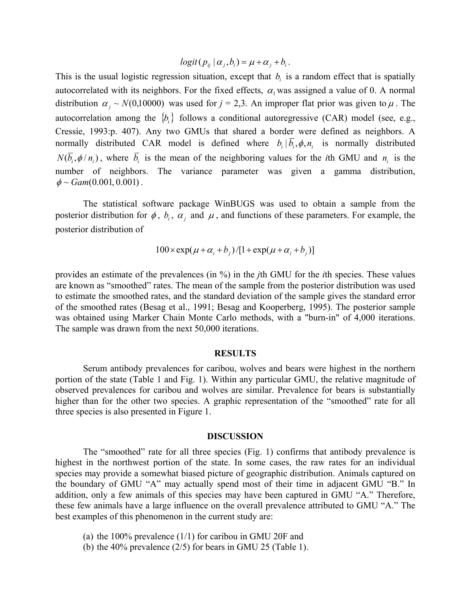$logit(p_{ij} | \alpha_i, b_i) = \mu + \alpha_i + b_i$ .

This is the usual logistic regression situation, except that  $b_i$  is a random effect that is spatially autocorrelated with its neighbors. For the fixed effects,  $\alpha_1$  was assigned a value of 0. A normal distribution  $\alpha_i \sim N(0,10000)$  was used for  $j = 2,3$ . An improper flat prior was given to  $\mu$ . The autocorrelation among the  ${b_i}$  follows a conditional autoregressive (CAR) model (see, e.g., Cressie, 1993:p. 407). Any two GMUs that shared a border were defined as neighbors. A normally distributed CAR model is defined where  $b_i | \overline{b_i}, \phi, n_i$  is normally distributed  $N(\overline{b}_i, \phi/n_i)$ , where  $\overline{b}_i$  is the mean of the neighboring values for the *i*th GMU and  $n_i$  is the number of neighbors. The variance parameter was given a gamma distribution,  $\phi \sim Gam(0.001, 0.001)$ .

The statistical software package WinBUGS was used to obtain a sample from the posterior distribution for  $\phi$ ,  $b_i$ ,  $\alpha_i$  and  $\mu$ , and functions of these parameters. For example, the posterior distribution of

$$
100 \times \exp(\mu + \alpha_i + b_j) / [1 + \exp(\mu + \alpha_i + b_j)]
$$

provides an estimate of the prevalences (in %) in the *j*th GMU for the *i*th species. These values are known as "smoothed" rates. The mean of the sample from the posterior distribution was used to estimate the smoothed rates, and the standard deviation of the sample gives the standard error of the smoothed rates (Besag et al., 1991; Besag and Kooperberg, 1995). The posterior sample was obtained using Marker Chain Monte Carlo methods, with a "burn-in" of 4,000 iterations. The sample was drawn from the next 50,000 iterations.

#### **RESULTS**

Serum antibody prevalences for caribou, wolves and bears were highest in the northern portion of the state (Table 1 and Fig. 1). Within any particular GMU, the relative magnitude of observed prevalences for caribou and wolves are similar. Prevalence for bears is substantially higher than for the other two species. A graphic representation of the "smoothed" rate for all three species is also presented in Figure 1.

## **DISCUSSION**

The "smoothed" rate for all three species (Fig. 1) confirms that antibody prevalence is highest in the northwest portion of the state. In some cases, the raw rates for an individual species may provide a somewhat biased picture of geographic distribution. Animals captured on the boundary of GMU "A" may actually spend most of their time in adjacent GMU "B." In addition, only a few animals of this species may have been captured in GMU "A." Therefore, these few animals have a large influence on the overall prevalence attributed to GMU "A." The best examples of this phenomenon in the current study are:

- (a) the 100% prevalence (1/1) for caribou in GMU 20F and
- (b) the 40% prevalence (2/5) for bears in GMU 25 (Table 1).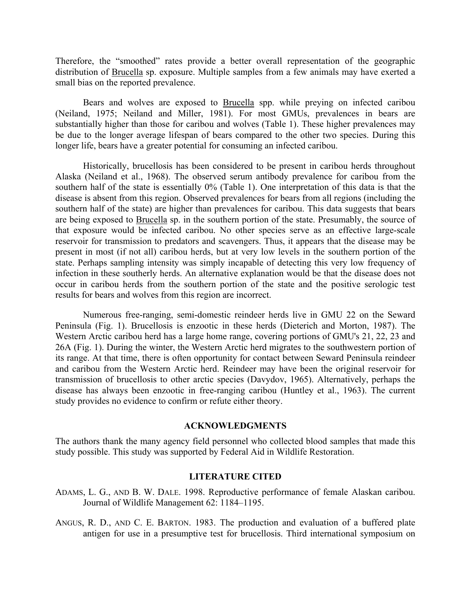Therefore, the "smoothed" rates provide a better overall representation of the geographic distribution of Brucella sp. exposure. Multiple samples from a few animals may have exerted a small bias on the reported prevalence.

Bears and wolves are exposed to Brucella spp. while preying on infected caribou (Neiland, 1975; Neiland and Miller, 1981). For most GMUs, prevalences in bears are substantially higher than those for caribou and wolves (Table 1). These higher prevalences may be due to the longer average lifespan of bears compared to the other two species. During this longer life, bears have a greater potential for consuming an infected caribou.

Historically, brucellosis has been considered to be present in caribou herds throughout Alaska (Neiland et al., 1968). The observed serum antibody prevalence for caribou from the southern half of the state is essentially 0% (Table 1). One interpretation of this data is that the disease is absent from this region. Observed prevalences for bears from all regions (including the southern half of the state) are higher than prevalences for caribou. This data suggests that bears are being exposed to Brucella sp. in the southern portion of the state. Presumably, the source of that exposure would be infected caribou. No other species serve as an effective large-scale reservoir for transmission to predators and scavengers. Thus, it appears that the disease may be present in most (if not all) caribou herds, but at very low levels in the southern portion of the state. Perhaps sampling intensity was simply incapable of detecting this very low frequency of infection in these southerly herds. An alternative explanation would be that the disease does not occur in caribou herds from the southern portion of the state and the positive serologic test results for bears and wolves from this region are incorrect.

Numerous free-ranging, semi-domestic reindeer herds live in GMU 22 on the Seward Peninsula (Fig. 1). Brucellosis is enzootic in these herds (Dieterich and Morton, 1987). The Western Arctic caribou herd has a large home range, covering portions of GMU's 21, 22, 23 and 26A (Fig. 1). During the winter, the Western Arctic herd migrates to the southwestern portion of its range. At that time, there is often opportunity for contact between Seward Peninsula reindeer and caribou from the Western Arctic herd. Reindeer may have been the original reservoir for transmission of brucellosis to other arctic species (Davydov, 1965). Alternatively, perhaps the disease has always been enzootic in free-ranging caribou (Huntley et al., 1963). The current study provides no evidence to confirm or refute either theory.

### **ACKNOWLEDGMENTS**

The authors thank the many agency field personnel who collected blood samples that made this study possible. This study was supported by Federal Aid in Wildlife Restoration.

## **LITERATURE CITED**

- ADAMS, L. G., AND B. W. DALE. 1998. Reproductive performance of female Alaskan caribou. Journal of Wildlife Management 62: 1184–1195.
- ANGUS, R. D., AND C. E. BARTON. 1983. The production and evaluation of a buffered plate antigen for use in a presumptive test for brucellosis. Third international symposium on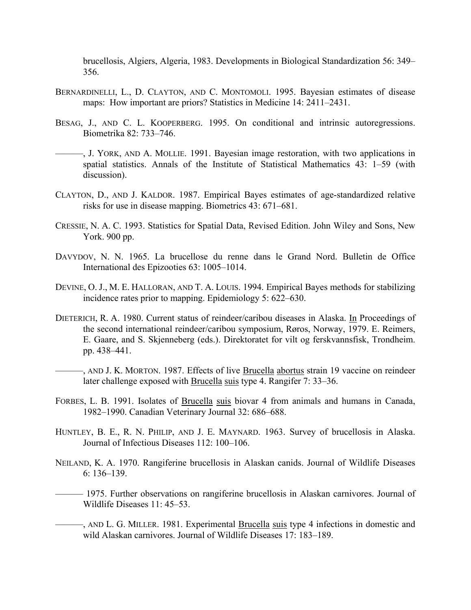brucellosis, Algiers, Algeria, 1983. Developments in Biological Standardization 56: 349– 356.

- BERNARDINELLI, L., D. CLAYTON, AND C. MONTOMOLI. 1995. Bayesian estimates of disease maps: How important are priors? Statistics in Medicine 14: 2411–2431.
- BESAG, J., AND C. L. KOOPERBERG. 1995. On conditional and intrinsic autoregressions. Biometrika 82: 733–746.
- ———, J. YORK, AND A. MOLLIE. 1991. Bayesian image restoration, with two applications in spatial statistics. Annals of the Institute of Statistical Mathematics 43: 1–59 (with discussion).
- CLAYTON, D., AND J. KALDOR. 1987. Empirical Bayes estimates of age-standardized relative risks for use in disease mapping. Biometrics 43: 671–681.
- CRESSIE, N. A. C. 1993. Statistics for Spatial Data, Revised Edition. John Wiley and Sons, New York. 900 pp.
- DAVYDOV, N. N. 1965. La brucellose du renne dans le Grand Nord. Bulletin de Office International des Epizooties 63: 1005–1014.
- DEVINE, O. J., M. E. HALLORAN, AND T. A. LOUIS. 1994. Empirical Bayes methods for stabilizing incidence rates prior to mapping. Epidemiology 5: 622–630.
- DIETERICH, R. A. 1980. Current status of reindeer/caribou diseases in Alaska. In Proceedings of the second international reindeer/caribou symposium, Røros, Norway, 1979. E. Reimers, E. Gaare, and S. Skjenneberg (eds.). Direktoratet for vilt og ferskvannsfisk, Trondheim. pp. 438–441.
- ———, AND J. K. MORTON. 1987. Effects of live Brucella abortus strain 19 vaccine on reindeer later challenge exposed with Brucella suis type 4. Rangifer 7: 33–36.
- FORBES, L. B. 1991. Isolates of Brucella suis biovar 4 from animals and humans in Canada, 1982–1990. Canadian Veterinary Journal 32: 686–688.
- HUNTLEY, B. E., R. N. PHILIP, AND J. E. MAYNARD. 1963. Survey of brucellosis in Alaska. Journal of Infectious Diseases 112: 100–106.
- NEILAND, K. A. 1970. Rangiferine brucellosis in Alaskan canids. Journal of Wildlife Diseases 6: 136–139.
- ——— 1975. Further observations on rangiferine brucellosis in Alaskan carnivores. Journal of Wildlife Diseases 11: 45–53.
- –, AND L. G. MILLER. 1981. Experimental Brucella suis type 4 infections in domestic and wild Alaskan carnivores. Journal of Wildlife Diseases 17: 183–189.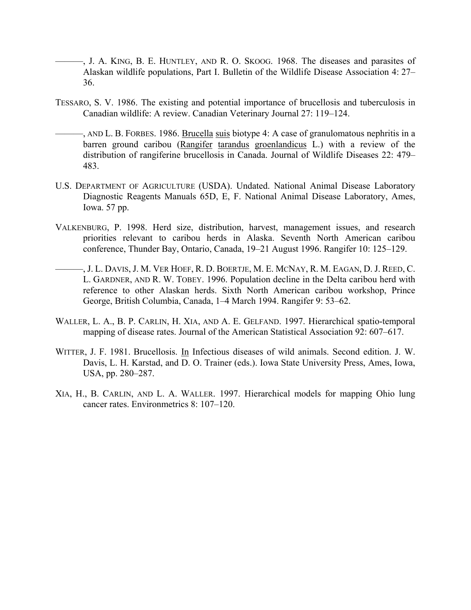- ———, J. A. KING, B. E. HUNTLEY, AND R. O. SKOOG. 1968. The diseases and parasites of Alaskan wildlife populations, Part I. Bulletin of the Wildlife Disease Association 4: 27– 36.
- TESSARO, S. V. 1986. The existing and potential importance of brucellosis and tuberculosis in Canadian wildlife: A review. Canadian Veterinary Journal 27: 119–124.
- ———, AND L. B. FORBES. 1986. Brucella suis biotype 4: A case of granulomatous nephritis in a barren ground caribou (Rangifer tarandus groenlandicus L.) with a review of the distribution of rangiferine brucellosis in Canada. Journal of Wildlife Diseases 22: 479– 483.
- U.S. DEPARTMENT OF AGRICULTURE (USDA). Undated. National Animal Disease Laboratory Diagnostic Reagents Manuals 65D, E, F. National Animal Disease Laboratory, Ames, Iowa. 57 pp.
- VALKENBURG, P. 1998. Herd size, distribution, harvest, management issues, and research priorities relevant to caribou herds in Alaska. Seventh North American caribou conference, Thunder Bay, Ontario, Canada, 19–21 August 1996. Rangifer 10: 125–129.
- ———, J. L. DAVIS, J. M. VER HOEF, R. D. BOERTJE, M. E. MCNAY, R. M. EAGAN, D. J. REED, C. L. GARDNER, AND R. W. TOBEY. 1996. Population decline in the Delta caribou herd with reference to other Alaskan herds. Sixth North American caribou workshop, Prince George, British Columbia, Canada, 1–4 March 1994. Rangifer 9: 53–62.
- WALLER, L. A., B. P. CARLIN, H. XIA, AND A. E. GELFAND. 1997. Hierarchical spatio-temporal mapping of disease rates. Journal of the American Statistical Association 92: 607–617.
- WITTER, J. F. 1981. Brucellosis. In Infectious diseases of wild animals. Second edition. J. W. Davis, L. H. Karstad, and D. O. Trainer (eds.). Iowa State University Press, Ames, Iowa, USA, pp. 280–287.
- XIA, H., B. CARLIN, AND L. A. WALLER. 1997. Hierarchical models for mapping Ohio lung cancer rates. Environmetrics 8: 107–120.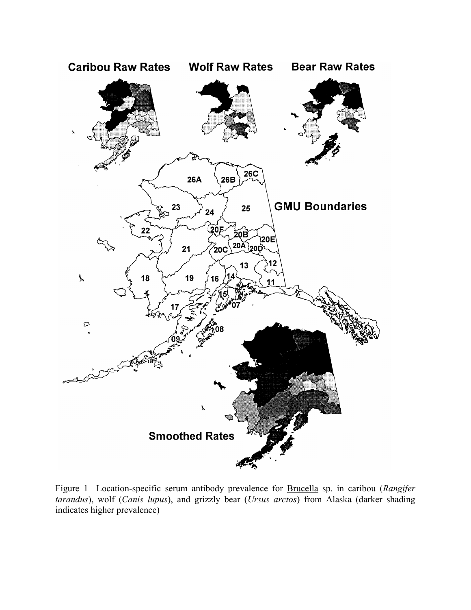

Figure 1 Location-specific serum antibody prevalence for Brucella sp. in caribou (*Rangifer tarandus*), wolf (*Canis lupus*), and grizzly bear (*Ursus arctos*) from Alaska (darker shading indicates higher prevalence)